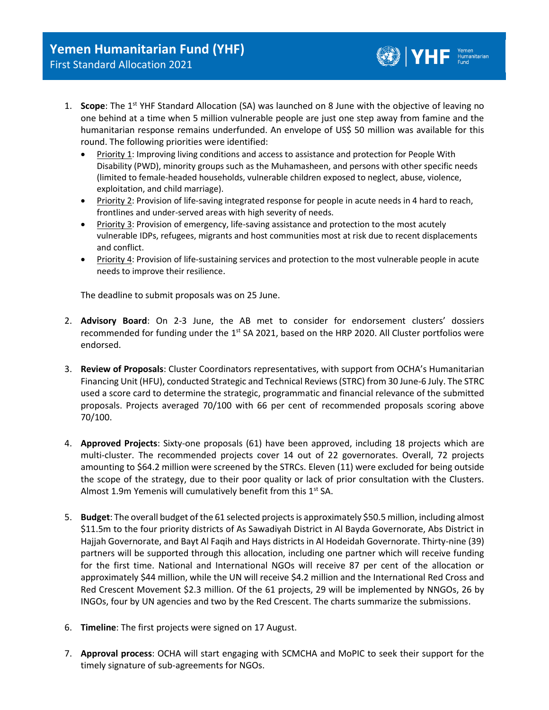1. **Scope**: The 1<sup>st</sup> YHF Standard Allocation (SA) was launched on 8 June with the objective of leaving no one behind at a time when 5 million vulnerable people are just one step away from famine and the humanitarian response remains underfunded. An envelope of US\$ 50 million was available for this round. The following priorities were identified:

 $\bigcircled{C}$   $\bigvee$   $\bigvee$   $\bigvee$   $\bigvee$   $\bigvee$   $\bigvee$   $\bigvee$   $\bigvee$   $\bigvee$   $\bigvee$   $\bigvee$   $\bigvee$   $\bigvee$   $\bigvee$   $\bigvee$   $\bigvee$   $\bigvee$   $\bigvee$   $\bigvee$   $\bigvee$   $\bigvee$   $\bigvee$   $\bigvee$   $\bigvee$   $\bigvee$   $\bigvee$   $\bigvee$   $\bigvee$   $\bigvee$   $\bigvee$ 

- Priority 1: Improving living conditions and access to assistance and protection for People With Disability (PWD), minority groups such as the Muhamasheen, and persons with other specific needs (limited to female-headed households, vulnerable children exposed to neglect, abuse, violence, exploitation, and child marriage).
- Priority 2: Provision of life-saving integrated response for people in acute needs in 4 hard to reach, frontlines and under-served areas with high severity of needs.
- Priority 3: Provision of emergency, life-saving assistance and protection to the most acutely vulnerable IDPs, refugees, migrants and host communities most at risk due to recent displacements and conflict.
- Priority 4: Provision of life-sustaining services and protection to the most vulnerable people in acute needs to improve their resilience.

The deadline to submit proposals was on 25 June.

- 2. **Advisory Board**: On 2-3 June, the AB met to consider for endorsement clusters' dossiers recommended for funding under the 1<sup>st</sup> SA 2021, based on the HRP 2020. All Cluster portfolios were endorsed.
- 3. **Review of Proposals**: Cluster Coordinators representatives, with support from OCHA's Humanitarian Financing Unit (HFU), conducted Strategic and Technical Reviews(STRC) from 30 June-6 July. The STRC used a score card to determine the strategic, programmatic and financial relevance of the submitted proposals. Projects averaged 70/100 with 66 per cent of recommended proposals scoring above 70/100.
- 4. **Approved Projects**: Sixty-one proposals (61) have been approved, including 18 projects which are multi-cluster. The recommended projects cover 14 out of 22 governorates. Overall, 72 projects amounting to \$64.2 million were screened by the STRCs. Eleven (11) were excluded for being outside the scope of the strategy, due to their poor quality or lack of prior consultation with the Clusters. Almost 1.9m Yemenis will cumulatively benefit from this  $1<sup>st</sup>$  SA.
- 5. **Budget**: The overall budget of the 61 selected projects is approximately \$50.5 million, including almost \$11.5m to the four priority districts of As Sawadiyah District in Al Bayda Governorate, Abs District in Hajjah Governorate, and Bayt Al Faqih and Hays districts in Al Hodeidah Governorate. Thirty-nine (39) partners will be supported through this allocation, including one partner which will receive funding for the first time. National and International NGOs will receive 87 per cent of the allocation or approximately \$44 million, while the UN will receive \$4.2 million and the International Red Cross and Red Crescent Movement \$2.3 million. Of the 61 projects, 29 will be implemented by NNGOs, 26 by INGOs, four by UN agencies and two by the Red Crescent. The charts summarize the submissions.
- 6. **Timeline**: The first projects were signed on 17 August.
- 7. **Approval process**: OCHA will start engaging with SCMCHA and MoPIC to seek their support for the timely signature of sub-agreements for NGOs.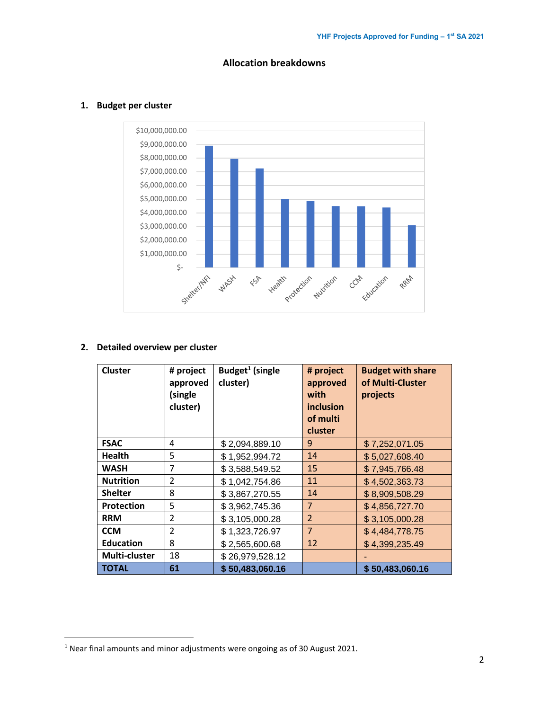

**Allocation breakdowns**

## **1. Budget per cluster**

#### **2. Detailed overview per cluster**

| <b>Cluster</b>    | # project<br>approved<br>(single<br>cluster) | Budget <sup>1</sup> (single<br>cluster) | # project<br>approved<br>with<br>inclusion<br>of multi<br>cluster | <b>Budget with share</b><br>of Multi-Cluster<br>projects |
|-------------------|----------------------------------------------|-----------------------------------------|-------------------------------------------------------------------|----------------------------------------------------------|
| <b>FSAC</b>       | 4                                            | \$2,094,889.10                          | 9                                                                 | \$7,252,071.05                                           |
| <b>Health</b>     | 5                                            | \$1,952,994.72                          | 14                                                                | \$5,027,608.40                                           |
| <b>WASH</b>       | 7                                            | \$3,588,549.52                          | 15                                                                | \$7,945,766.48                                           |
| <b>Nutrition</b>  | 2                                            | \$1,042,754.86                          | 11                                                                | \$4,502,363.73                                           |
| <b>Shelter</b>    | 8                                            | \$3,867,270.55                          | 14                                                                | \$8,909,508.29                                           |
| <b>Protection</b> | 5                                            | \$3,962,745.36                          | $\overline{7}$                                                    | \$4,856,727.70                                           |
| <b>RRM</b>        | 2                                            | \$3,105,000.28                          | $\overline{2}$                                                    | \$3,105,000.28                                           |
| <b>CCM</b>        | 2                                            | \$1,323,726.97                          | $\overline{7}$                                                    | \$4,484,778.75                                           |
| <b>Education</b>  | 8                                            | \$2,565,600.68                          | 12                                                                | \$4,399,235.49                                           |
| Multi-cluster     | 18                                           | \$26,979,528.12                         |                                                                   |                                                          |
| TOTAL             | 61                                           | \$50,483,060.16                         |                                                                   | \$50,483,060.16                                          |

 $1$  Near final amounts and minor adjustments were ongoing as of 30 August 2021.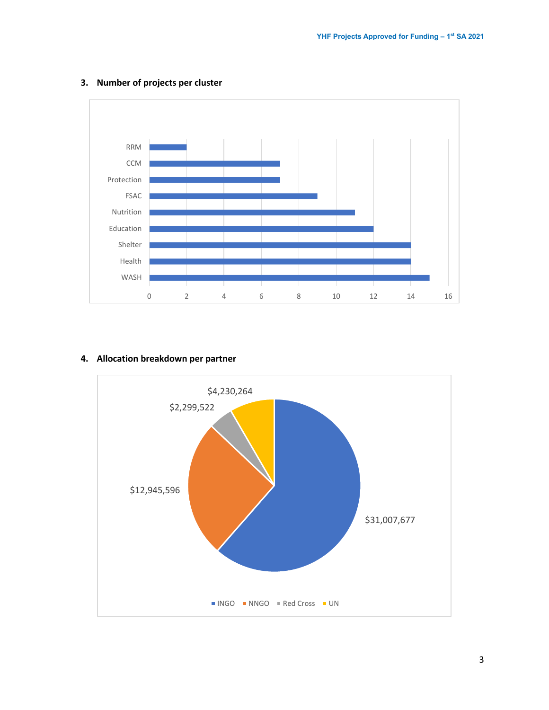

## **3. Number of projects per cluster**

#### **4. Allocation breakdown per partner**

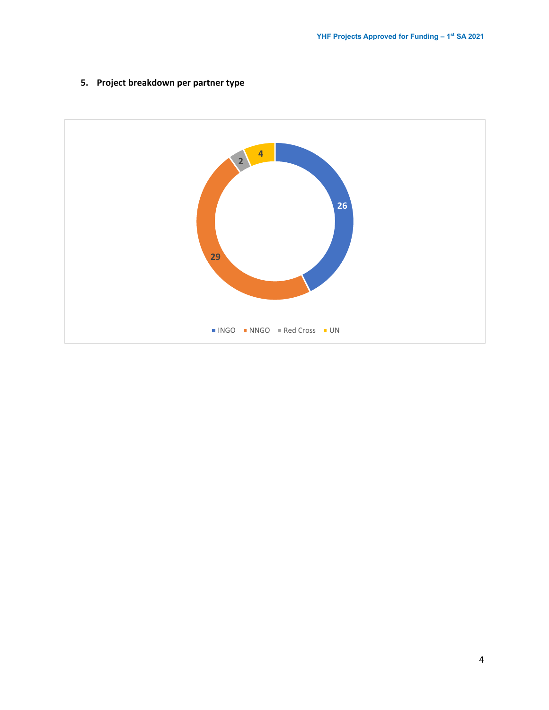

## **5. Project breakdown per partner type**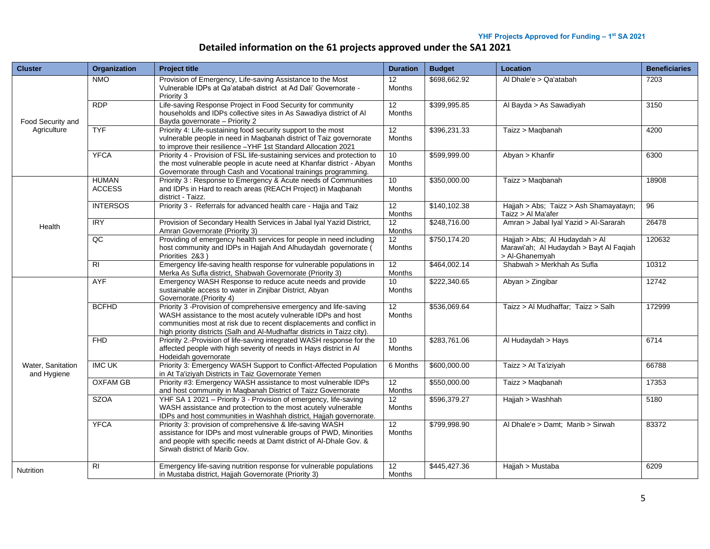# **Detailed information on the 61 projects approved under the SA1 2021**

| <b>Cluster</b>                   | Organization                  | <b>Project title</b>                                                                                                                                                                                                                                                                 | <b>Duration</b>                  | <b>Budget</b> | Location                                                                                    | <b>Beneficiaries</b> |
|----------------------------------|-------------------------------|--------------------------------------------------------------------------------------------------------------------------------------------------------------------------------------------------------------------------------------------------------------------------------------|----------------------------------|---------------|---------------------------------------------------------------------------------------------|----------------------|
| Food Security and<br>Agriculture | <b>NMO</b>                    | Provision of Emergency, Life-saving Assistance to the Most<br>Vulnerable IDPs at Qa'atabah district at Ad Dali' Governorate -<br>Priority 3                                                                                                                                          | 12<br><b>Months</b>              | \$698,662.92  | Al Dhale'e > Qa'atabah                                                                      | 7203                 |
|                                  | RDP                           | Life-saving Response Project in Food Security for community<br>households and IDPs collective sites in As Sawadiya district of Al<br>Bayda governorate - Priority 2                                                                                                                  | 12<br><b>Months</b>              | \$399,995.85  | Al Bayda > As Sawadiyah                                                                     | 3150                 |
|                                  | <b>TYF</b>                    | Priority 4: Life-sustaining food security support to the most<br>vulnerable people in need in Maqbanah district of Taiz governorate<br>to improve their resilience -YHF 1st Standard Allocation 2021                                                                                 | 12<br>Months                     | \$396,231.33  | Taizz > Maqbanah                                                                            | 4200                 |
|                                  | <b>YFCA</b>                   | Priority 4 - Provision of FSL life-sustaining services and protection to<br>the most vulnerable people in acute need at Khanfar district - Abyan<br>Governorate through Cash and Vocational trainings programming.                                                                   | 10<br><b>Months</b>              | \$599,999.00  | Abyan > Khanfir                                                                             | 6300                 |
|                                  | <b>HUMAN</b><br><b>ACCESS</b> | Priority 3: Response to Emergency & Acute needs of Communities<br>and IDPs in Hard to reach areas (REACH Project) in Maqbanah<br>district Taizz.                                                                                                                                     | 10<br>Months                     | \$350,000.00  | Taizz > Maqbanah                                                                            | 18908                |
|                                  | <b>INTERSOS</b>               | Priority 3 - Referrals for advanced health care - Hajja and Taiz                                                                                                                                                                                                                     | 12<br>Months                     | \$140,102.38  | Hajjah > Abs; Taizz > Ash Shamayatayn;<br>Taizz > Al Ma'afer                                | 96                   |
| Health                           | <b>IRY</b>                    | Provision of Secondary Health Services in Jabal Iyal Yazid District,<br>Amran Governorate (Priority 3)                                                                                                                                                                               | 12<br>Months                     | \$248,716.00  | Amran > Jabal Iyal Yazid > Al-Sararah                                                       | 26478                |
|                                  | $\overline{AC}$               | Providing of emergency health services for people in need including<br>host community and IDPs in Hajjah And Alhudaydah governorate (<br>Priorities 2&3)                                                                                                                             | 12<br>Months                     | \$750,174.20  | Hajjah > Abs; Al Hudaydah > Al<br>Marawi'ah; Al Hudaydah > Bayt Al Faqiah<br>> Al-Ghanemyah | 120632               |
|                                  | $\overline{R}$                | Emergency life-saving health response for vulnerable populations in<br>Merka As Sufla district, Shabwah Governorate (Priority 3)                                                                                                                                                     | 12<br>Months                     | \$464,002.14  | Shabwah > Merkhah As Sufla                                                                  | 10312                |
| Water, Sanitation<br>and Hygiene | <b>AYF</b>                    | Emergency WASH Response to reduce acute needs and provide<br>sustainable access to water in Zinjibar District, Abyan<br>Governorate.(Priority 4)                                                                                                                                     | 10 <sup>1</sup><br><b>Months</b> | \$222,340.65  | Abyan > Zingibar                                                                            | 12742                |
|                                  | <b>BCFHD</b>                  | Priority 3 -Provision of comprehensive emergency and life-saving<br>WASH assistance to the most acutely vulnerable IDPs and host<br>communities most at risk due to recent displacements and conflict in<br>high priority districts (Salh and Al-Mudhaffar districts in Taizz city). | 12<br><b>Months</b>              | \$536,069.64  | Taizz > Al Mudhaffar; Taizz > Salh                                                          | 172999               |
|                                  | FHD                           | Priority 2.-Provision of life-saving integrated WASH response for the<br>affected people with high severity of needs in Hays district in Al<br>Hodeidah governorate                                                                                                                  | 10<br>Months                     | \$283,761.06  | Al Hudaydah > Hays                                                                          | 6714                 |
|                                  | <b>IMC UK</b>                 | Priority 3: Emergency WASH Support to Conflict-Affected Population<br>in At Ta'iziyah Districts in Taiz Governorate Yemen                                                                                                                                                            | 6 Months                         | \$600,000.00  | Taizz > At Ta'iziyah                                                                        | 66788                |
|                                  | <b>OXFAM GB</b>               | Priority #3: Emergency WASH assistance to most vulnerable IDPs<br>and host community in Maqbanah District of Taizz Governorate                                                                                                                                                       | 12<br>Months                     | \$550,000.00  | Taizz > Maqbanah                                                                            | 17353                |
|                                  | <b>SZOA</b>                   | YHF SA 1 2021 - Priority 3 - Provision of emergency, life-saving<br>WASH assistance and protection to the most acutely vulnerable<br>IDPs and host communities in Washhah district, Hajjah governorate.                                                                              | 12<br><b>Months</b>              | \$596,379.27  | Hajjah > Washhah                                                                            | 5180                 |
|                                  | <b>YFCA</b>                   | Priority 3: provision of comprehensive & life-saving WASH<br>assistance for IDPs and most vulnerable groups of PWD, Minorities<br>and people with specific needs at Damt district of Al-Dhale Gov. &<br>Sirwah district of Marib Gov.                                                | 12<br><b>Months</b>              | \$799,998.90  | Al Dhale'e > Damt; Marib > Sirwah                                                           | 83372                |
| Nutrition                        | R <sub>l</sub>                | Emergency life-saving nutrition response for vulnerable populations<br>in Mustaba district, Hajjah Governorate (Priority 3)                                                                                                                                                          | 12<br>Months                     | \$445,427.36  | Hajjah > Mustaba                                                                            | 6209                 |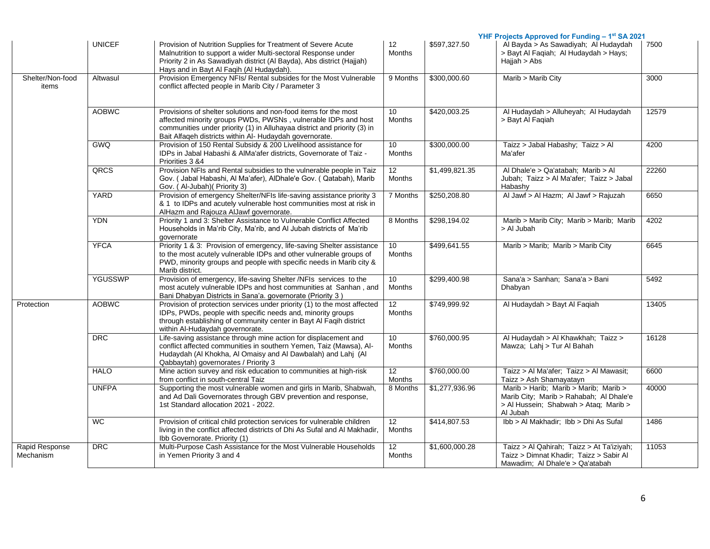|                             |               |                                                                                                                                                                                                                                                                          |                                   |                | YHF Projects Approved for Funding - 1st SA 2021                                                                                       |       |
|-----------------------------|---------------|--------------------------------------------------------------------------------------------------------------------------------------------------------------------------------------------------------------------------------------------------------------------------|-----------------------------------|----------------|---------------------------------------------------------------------------------------------------------------------------------------|-------|
|                             | <b>UNICEF</b> | Provision of Nutrition Supplies for Treatment of Severe Acute<br>Malnutrition to support a wider Multi-sectoral Response under<br>Priority 2 in As Sawadiyah district (Al Bayda), Abs district (Hajjah)<br>Hays and in Bayt Al Faqih (Al Hudaydah).                      | 12<br><b>Months</b>               | \$597,327.50   | Al Bayda > As Sawadiyah; Al Hudaydah<br>> Bayt Al Faqiah; Al Hudaydah > Hays;<br>Hajjah > Abs                                         | 7500  |
| Shelter/Non-food<br>items   | Altwasul      | Provision Emergency NFIs/ Rental subsides for the Most Vulnerable<br>conflict affected people in Marib City / Parameter 3                                                                                                                                                | 9 Months                          | \$300,000.60   | Marib > Marib City                                                                                                                    | 3000  |
|                             | <b>AOBWC</b>  | Provisions of shelter solutions and non-food items for the most<br>affected minority groups PWDs, PWSNs, vulnerable IDPs and host<br>communities under priority (1) in Alluhayaa district and priority (3) in<br>Bait Alfaqeh districts within Al- Hudaydah governorate. | 10 <sup>°</sup><br><b>Months</b>  | \$420,003.25   | Al Hudaydah > Alluheyah; Al Hudaydah<br>> Bayt Al Fagiah                                                                              | 12579 |
|                             | <b>GWQ</b>    | Provision of 150 Rental Subsidy & 200 Livelihood assistance for<br>IDPs in Jabal Habashi & AlMa'afer districts, Governorate of Taiz -<br>Priorities 3 &4                                                                                                                 | 10 <sup>10</sup><br><b>Months</b> | \$300,000.00   | Taizz > Jabal Habashy; Taizz > Al<br>Ma'afer                                                                                          | 4200  |
|                             | QRCS          | Provision NFIs and Rental subsidies to the vulnerable people in Taiz<br>Gov. (Jabal Habashi, Al Ma'afer), AlDhale'e Gov. (Qatabah), Marib<br>Gov. (Al-Jubah) (Priority 3)                                                                                                | 12<br>Months                      | \$1,499,821.35 | Al Dhale'e > Qa'atabah; Marib > Al<br>Jubah; Taizz > Al Ma'afer; Taizz > Jabal<br>Habashv                                             | 22260 |
|                             | <b>YARD</b>   | Provision of emergency Shelter/NFIs life-saving assistance priority 3<br>& 1 to IDPs and acutely vulnerable host communities most at risk in<br>AlHazm and Rajouza AlJawf governorate.                                                                                   | 7 Months                          | \$250,208.80   | Al Jawf > Al Hazm; Al Jawf > Rajuzah                                                                                                  | 6650  |
|                             | <b>YDN</b>    | Priority 1 and 3: Shelter Assistance to Vulnerable Conflict Affected<br>Households in Ma'rib City, Ma'rib, and Al Jubah districts of Ma'rib<br>qovernorate                                                                                                               | 8 Months                          | \$298,194.02   | Marib > Marib City; Marib > Marib; Marib<br>> Al Jubah                                                                                | 4202  |
|                             | <b>YFCA</b>   | Priority 1 & 3: Provision of emergency, life-saving Shelter assistance<br>to the most acutely vulnerable IDPs and other vulnerable groups of<br>PWD, minority groups and people with specific needs in Marib city &<br>Marib district.                                   | 10<br><b>Months</b>               | \$499,641.55   | Marib > Marib; Marib > Marib City                                                                                                     | 6645  |
|                             | YGUSSWP       | Provision of emergency, life-saving Shelter /NFIs services to the<br>most acutely vulnerable IDPs and host communities at Sanhan, and<br>Bani Dhabyan Districts in Sana'a. governorate (Priority 3)                                                                      | 10 <sup>10</sup><br>Months        | \$299,400.98   | Sana'a > Sanhan; Sana'a > Bani<br>Dhabyan                                                                                             | 5492  |
| Protection                  | <b>AOBWC</b>  | Provision of protection services under priority (1) to the most affected<br>IDPs, PWDs, people with specific needs and, minority groups<br>through establishing of community center in Bayt Al Faqih district<br>within Al-Hudaydah governorate.                         | 12<br><b>Months</b>               | \$749,999.92   | Al Hudaydah > Bayt Al Faqiah                                                                                                          | 13405 |
|                             | <b>DRC</b>    | Life-saving assistance through mine action for displacement and<br>conflict affected communities in southern Yemen, Taiz (Mawsa), Al-<br>Hudaydah (Al Khokha, Al Omaisy and Al Dawbalah) and Lahj (Al<br>Qabbaytah) governorates / Priority 3                            | 10 <sup>°</sup><br><b>Months</b>  | \$760,000.95   | Al Hudaydah > Al Khawkhah; Taizz ><br>Mawza; Lahj > Tur Al Bahah                                                                      | 16128 |
|                             | <b>HALO</b>   | Mine action survey and risk education to communities at high-risk<br>from conflict in south-central Taiz                                                                                                                                                                 | 12<br><b>Months</b>               | \$760,000.00   | Taizz > Al Ma'afer; Taizz > Al Mawasit;<br>Taizz > Ash Shamayatayn                                                                    | 6600  |
|                             | <b>UNFPA</b>  | Supporting the most vulnerable women and girls in Marib, Shabwah,<br>and Ad Dali Governorates through GBV prevention and response,<br>1st Standard allocation 2021 - 2022.                                                                                               | 8 Months                          | \$1,277,936.96 | Marib > Harib; Marib > Marib; Marib ><br>Marib City; Marib > Rahabah; Al Dhale'e<br>> Al Hussein; Shabwah > Ataq; Marib ><br>Al Jubah | 40000 |
|                             | WC.           | Provision of critical child protection services for vulnerable children<br>living in the conflict affected districts of Dhi As Sufal and Al Makhadir,<br>Ibb Governorate. Priority (1)                                                                                   | 12 <sup>°</sup><br>Months         | \$414,807.53   | Ibb > Al Makhadir; Ibb > Dhi As Sufal                                                                                                 | 1486  |
| Rapid Response<br>Mechanism | DRC           | Multi-Purpose Cash Assistance for the Most Vulnerable Households<br>in Yemen Priority 3 and 4                                                                                                                                                                            | $\overline{12}$<br><b>Months</b>  | \$1,600,000.28 | Taizz > Al Qahirah; Taizz > At Ta'iziyah;<br>Taizz > Dimnat Khadir; Taizz > Sabir Al<br>Mawadim; Al Dhale'e > Qa'atabah               | 11053 |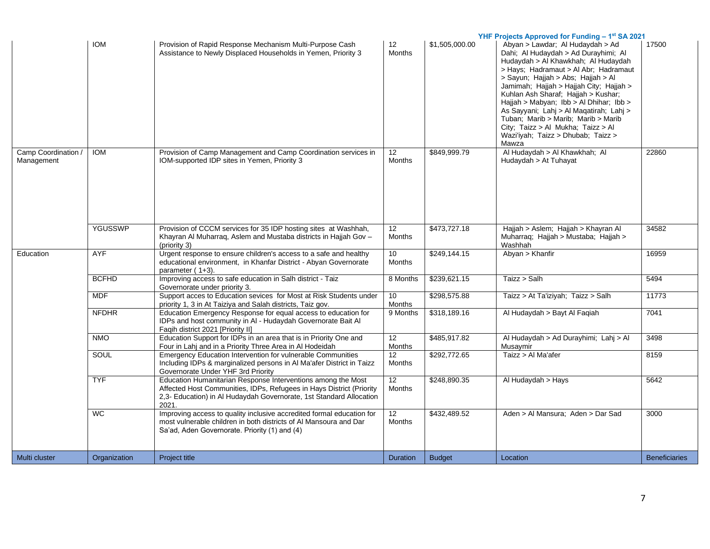|                                   |                |                                                                                                                                                                                                                      | YHF Projects Approved for Funding - 1st SA 2021 |                |                                                                                                                                                                                                                                                                                                                                                                                                                                                                                                    |                      |
|-----------------------------------|----------------|----------------------------------------------------------------------------------------------------------------------------------------------------------------------------------------------------------------------|-------------------------------------------------|----------------|----------------------------------------------------------------------------------------------------------------------------------------------------------------------------------------------------------------------------------------------------------------------------------------------------------------------------------------------------------------------------------------------------------------------------------------------------------------------------------------------------|----------------------|
|                                   | <b>IOM</b>     | Provision of Rapid Response Mechanism Multi-Purpose Cash<br>Assistance to Newly Displaced Households in Yemen, Priority 3                                                                                            | 12<br><b>Months</b>                             | \$1,505,000.00 | Abyan > Lawdar; Al Hudaydah > Ad<br>Dahi; Al Hudaydah > Ad Durayhimi; Al<br>Hudaydah > Al Khawkhah; Al Hudaydah<br>> Hays: Hadramaut > Al Abr: Hadramaut<br>> Sayun; Hajjah > Abs; Hajjah > Al<br>Jamimah; Hajjah > Hajjah City; Hajjah ><br>Kuhlan Ash Sharaf; Hajjah > Kushar;<br>Hajjah > Mabyan; Ibb > Al Dhihar; Ibb ><br>As Sayyani; Lahj > Al Maqatirah; Lahj ><br>Tuban, Marib > Marib, Marib > Marib<br>City; Taizz > Al Mukha; Taizz > Al<br>Wazi'iyah; Taizz > Dhubab; Taizz ><br>Mawza | 17500                |
| Camp Coordination /<br>Management | <b>IOM</b>     | Provision of Camp Management and Camp Coordination services in<br>IOM-supported IDP sites in Yemen, Priority 3                                                                                                       | 12<br><b>Months</b>                             | \$849,999.79   | Al Hudaydah > Al Khawkhah; Al<br>Hudaydah > At Tuhayat                                                                                                                                                                                                                                                                                                                                                                                                                                             | 22860                |
|                                   | <b>YGUSSWP</b> | Provision of CCCM services for 35 IDP hosting sites at Washhah,<br>Khayran Al Muharraq, Aslem and Mustaba districts in Hajjah Gov -<br>(priority 3)                                                                  | 12<br><b>Months</b>                             | \$473,727.18   | Hajjah > Aslem; Hajjah > Khayran Al<br>Muharraq; Hajjah > Mustaba; Hajjah ><br>Washhah                                                                                                                                                                                                                                                                                                                                                                                                             | 34582                |
| Education                         | <b>AYF</b>     | Urgent response to ensure children's access to a safe and healthy<br>educational environment, in Khanfar District - Abyan Governorate<br>parameter $(1+3)$ .                                                         | 10<br><b>Months</b>                             | \$249,144.15   | Abyan > Khanfir                                                                                                                                                                                                                                                                                                                                                                                                                                                                                    | 16959                |
|                                   | <b>BCFHD</b>   | Improving access to safe education in Salh district - Taiz<br>Governorate under priority 3.                                                                                                                          | 8 Months                                        | \$239,621.15   | Taizz > Salh                                                                                                                                                                                                                                                                                                                                                                                                                                                                                       | 5494                 |
|                                   | <b>MDF</b>     | Support acces to Education sevices for Most at Risk Students under<br>priority 1, 3 in At Taiziya and Salah districts, Taiz gov.                                                                                     | 10<br>Months                                    | \$298,575.88   | Taizz > At Ta'iziyah; Taizz > Salh                                                                                                                                                                                                                                                                                                                                                                                                                                                                 | 11773                |
|                                   | <b>NFDHR</b>   | Education Emergency Response for equal access to education for<br>IDPs and host community in AI - Hudaydah Governorate Bait AI<br>Faqih district 2021 [Priority II]                                                  | 9 Months                                        | \$318,189.16   | Al Hudaydah > Bayt Al Faqiah                                                                                                                                                                                                                                                                                                                                                                                                                                                                       | 7041                 |
|                                   | <b>NMO</b>     | Education Support for IDPs in an area that is in Priority One and<br>Four in Lahj and in a Priority Three Area in Al Hodeidah                                                                                        | 12<br>Months                                    | \$485,917.82   | Al Hudaydah > Ad Durayhimi; Lahj > Al<br>Musaymir                                                                                                                                                                                                                                                                                                                                                                                                                                                  | 3498                 |
|                                   | <b>SOUL</b>    | Emergency Education Intervention for vulnerable Communities<br>Including IDPs & marginalized persons in Al Ma'afer District in Taizz<br>Governorate Under YHF 3rd Priority                                           | 12<br><b>Months</b>                             | \$292,772.65   | Taizz > Al Ma'afer                                                                                                                                                                                                                                                                                                                                                                                                                                                                                 | 8159                 |
|                                   | <b>TYF</b>     | Education Humanitarian Response Interventions among the Most<br>Affected Host Communities, IDPs, Refugees in Hays District (Priority<br>2,3- Education) in Al Hudaydah Governorate, 1st Standard Allocation<br>2021. | 12<br><b>Months</b>                             | \$248,890.35   | Al Hudaydah > Hays                                                                                                                                                                                                                                                                                                                                                                                                                                                                                 | 5642                 |
|                                   | <b>WC</b>      | Improving access to quality inclusive accredited formal education for<br>most vulnerable children in both districts of AI Mansoura and Dar<br>Sa'ad, Aden Governorate. Priority (1) and (4)                          | 12<br><b>Months</b>                             | \$432,489.52   | Aden > Al Mansura; Aden > Dar Sad                                                                                                                                                                                                                                                                                                                                                                                                                                                                  | 3000                 |
| Multi cluster                     | Organization   | Project title                                                                                                                                                                                                        | Duration                                        | <b>Budget</b>  | Location                                                                                                                                                                                                                                                                                                                                                                                                                                                                                           | <b>Beneficiaries</b> |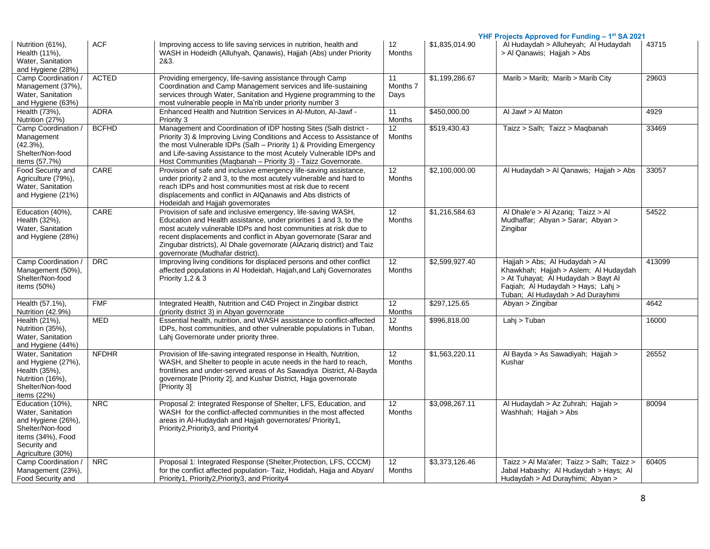|                                                                                                                                           |              |                                                                                                                                                                                                                                                                                                                                                                                          |                                  |                | YHF Projects Approved for Funding - 1 <sup>st</sup> SA 2021                                                                                                                               |        |
|-------------------------------------------------------------------------------------------------------------------------------------------|--------------|------------------------------------------------------------------------------------------------------------------------------------------------------------------------------------------------------------------------------------------------------------------------------------------------------------------------------------------------------------------------------------------|----------------------------------|----------------|-------------------------------------------------------------------------------------------------------------------------------------------------------------------------------------------|--------|
| Nutrition (61%),<br>Health (11%),<br>Water, Sanitation<br>and Hygiene (28%)                                                               | <b>ACF</b>   | Improving access to life saving services in nutrition, health and<br>WASH in Hodeidh (Alluhyah, Qanawis), Hajjah (Abs) under Priority<br>2&3.                                                                                                                                                                                                                                            | 12<br>Months                     | \$1,835,014.90 | Al Hudaydah > Alluheyah; Al Hudaydah<br>> Al Qanawis; Hajjah > Abs                                                                                                                        | 43715  |
| Camp Coordination /<br>Management (37%),<br>Water, Sanitation<br>and Hygiene (63%)                                                        | <b>ACTED</b> | Providing emergency, life-saving assistance through Camp<br>Coordination and Camp Management services and life-sustaining<br>services through Water, Sanitation and Hygiene programming to the<br>most vulnerable people in Ma'rib under priority number 3                                                                                                                               | 11<br>Months 7<br>Days           | \$1,199,286.67 | Marib > Marib; Marib > Marib City                                                                                                                                                         | 29603  |
| Health (73%),<br>Nutrition (27%)                                                                                                          | <b>ADRA</b>  | Enhanced Health and Nutrition Services in Al-Muton, Al-Jawf -<br>Priority 3                                                                                                                                                                                                                                                                                                              | 11<br>Months                     | \$450,000.00   | Al Jawf > Al Maton                                                                                                                                                                        | 4929   |
| Camp Coordination /<br>Management<br>$(42.3\%)$ ,<br>Shelter/Non-food<br>items (57.7%)                                                    | <b>BCFHD</b> | Management and Coordination of IDP hosting Sites (Salh district -<br>Priority 3) & Improving Living Conditions and Access to Assistance of<br>the most Vulnerable IDPs (Salh - Priority 1) & Providing Emergency<br>and Life-saving Assistance to the most Acutely Vulnerable IDPs and<br>Host Communities (Maqbanah - Priority 3) - Taizz Governorate.                                  | 12<br>Months                     | \$519,430.43   | Taizz > Salh; Taizz > Magbanah                                                                                                                                                            | 33469  |
| Food Security and<br>Agriculture (79%),<br>Water, Sanitation<br>and Hygiene (21%)                                                         | CARE         | Provision of safe and inclusive emergency life-saving assistance,<br>under priority 2 and 3, to the most acutely vulnerable and hard to<br>reach IDPs and host communities most at risk due to recent<br>displacements and conflict in AlQanawis and Abs districts of<br>Hodeidah and Hajjah governorates                                                                                | 12<br>Months                     | \$2,100,000.00 | Al Hudaydah > Al Qanawis; Hajjah > Abs                                                                                                                                                    | 33057  |
| Education (40%),<br>Health (32%),<br>Water, Sanitation<br>and Hygiene (28%)                                                               | CARE         | Provision of safe and inclusive emergency, life-saving WASH,<br>Education and Health assistance, under priorities 1 and 3, to the<br>most acutely vulnerable IDPs and host communities at risk due to<br>recent displacements and conflict in Abyan governorate (Sarar and<br>Zingubar districts), Al Dhale governorate (AlAzariq district) and Taiz<br>governorate (Mudhafar district). | 12<br>Months                     | \$1,216,584.63 | Al Dhale'e > Al Azariq; Taizz > Al<br>Mudhaffar; Abyan > Sarar; Abyan ><br>Zingibar                                                                                                       | 54522  |
| Camp Coordination /<br>Management (50%),<br>Shelter/Non-food<br>items (50%)                                                               | <b>DRC</b>   | Improving living conditions for displaced persons and other conflict<br>affected populations in Al Hodeidah, Hajjah, and Lahj Governorates<br>Priority 1,2 & 3                                                                                                                                                                                                                           | 12 <sup>°</sup><br><b>Months</b> | \$2,599,927.40 | Hajjah > Abs; Al Hudaydah > Al<br>Khawkhah; Hajjah > Aslem; Al Hudaydah<br>> At Tuhayat; Al Hudaydah > Bayt Al<br>Faqiah; Al Hudaydah > Hays; Lahi ><br>Tuban; Al Hudaydah > Ad Durayhimi | 413099 |
| Health (57.1%),<br>Nutrition (42.9%)                                                                                                      | <b>FMF</b>   | Integrated Health, Nutrition and C4D Project in Zingibar district<br>(priority district 3) in Abyan governorate                                                                                                                                                                                                                                                                          | 12<br><b>Months</b>              | \$297.125.65   | Abyan > Zingibar                                                                                                                                                                          | 4642   |
| Health (21%),<br>Nutrition (35%),<br>Water, Sanitation<br>and Hygiene (44%)                                                               | <b>MED</b>   | Essential health, nutrition, and WASH assistance to conflict-affected<br>IDPs, host communities, and other vulnerable populations in Tuban,<br>Lahj Governorate under priority three.                                                                                                                                                                                                    | 12<br><b>Months</b>              | \$996,818.00   | Lahj > Tuban                                                                                                                                                                              | 16000  |
| Water, Sanitation<br>and Hygiene (27%),<br>Health (35%),<br>Nutrition (16%),<br>Shelter/Non-food<br>items (22%)                           | <b>NFDHR</b> | Provision of life-saving integrated response in Health, Nutrition,<br>WASH, and Shelter to people in acute needs in the hard to reach,<br>frontlines and under-served areas of As Sawadiya District, Al-Bayda<br>governorate [Priority 2], and Kushar District, Hajja governorate<br>[Priority 3]                                                                                        | $\overline{12}$<br><b>Months</b> | \$1,563,220.11 | Al Bayda > As Sawadiyah; Hajjah ><br>Kushar                                                                                                                                               | 26552  |
| Education (10%),<br>Water, Sanitation<br>and Hygiene (26%),<br>Shelter/Non-food<br>items (34%), Food<br>Security and<br>Agriculture (30%) | <b>NRC</b>   | Proposal 2: Integrated Response of Shelter, LFS, Education, and<br>WASH for the conflict-affected communities in the most affected<br>areas in Al-Hudaydah and Hajjah governorates/ Priority1,<br>Priority2, Priority3, and Priority4                                                                                                                                                    | 12<br><b>Months</b>              | \$3,098,267.11 | Al Hudaydah > Az Zuhrah; Hajjah ><br>Washhah; Hajjah > Abs                                                                                                                                | 80094  |
| Camp Coordination /<br>Management (23%),<br>Food Security and                                                                             | <b>NRC</b>   | Proposal 1: Integrated Response (Shelter, Protection, LFS, CCCM)<br>for the conflict affected population-Taiz, Hodidah, Hajja and Abyan/<br>Priority1, Priority2, Priority3, and Priority4                                                                                                                                                                                               | 12<br><b>Months</b>              | \$3,373,126.46 | Taizz > Al Ma'afer: Taizz > Salh: Taizz ><br>Jabal Habashy; Al Hudaydah > Hays; Al<br>Hudaydah > Ad Durayhimi; Abyan >                                                                    | 60405  |